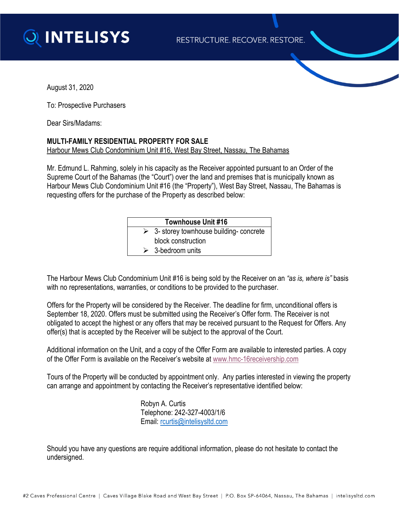

August 31, 2020

To: Prospective Purchasers

Dear Sirs/Madams:

## **MULTI-FAMILY RESIDENTIAL PROPERTY FOR SALE** Harbour Mews Club Condominium Unit #16, West Bay Street, Nassau, The Bahamas

Mr. Edmund L. Rahming, solely in his capacity as the Receiver appointed pursuant to an Order of the Supreme Court of the Bahamas (the "Court") over the land and premises that is municipally known as Harbour Mews Club Condominium Unit #16 (the "Property"), West Bay Street, Nassau, The Bahamas is requesting offers for the purchase of the Property as described below:

| <b>Townhouse Unit #16</b> |                                              |
|---------------------------|----------------------------------------------|
|                           | $\geq$ 3- storey townhouse building-concrete |
|                           | block construction                           |
|                           | $\triangleright$ 3-bedroom units             |

The Harbour Mews Club Condominium Unit #16 is being sold by the Receiver on an *"as is, where is"* basis with no representations, warranties, or conditions to be provided to the purchaser.

Offers for the Property will be considered by the Receiver. The deadline for firm, unconditional offers is September 18, 2020. Offers must be submitted using the Receiver's Offer form. The Receiver is not obligated to accept the highest or any offers that may be received pursuant to the Request for Offers. Any offer(s) that is accepted by the Receiver will be subject to the approval of the Court.

Additional information on the Unit, and a copy of the Offer Form are available to interested parties. A copy of the Offer Form is available on the Receiver's website at [www.hmc-16receivership.com](http://www.hmc-16receivership.com/)

Tours of the Property will be conducted by appointment only. Any parties interested in viewing the property can arrange and appointment by contacting the Receiver's representative identified below:

> Robyn A. Curtis Telephone: 242-327-4003/1/6 Email: [rcurtis@intelisysltd.com](mailto:rcurtis@intelisysltd.com)

Should you have any questions are require additional information, please do not hesitate to contact the undersigned.